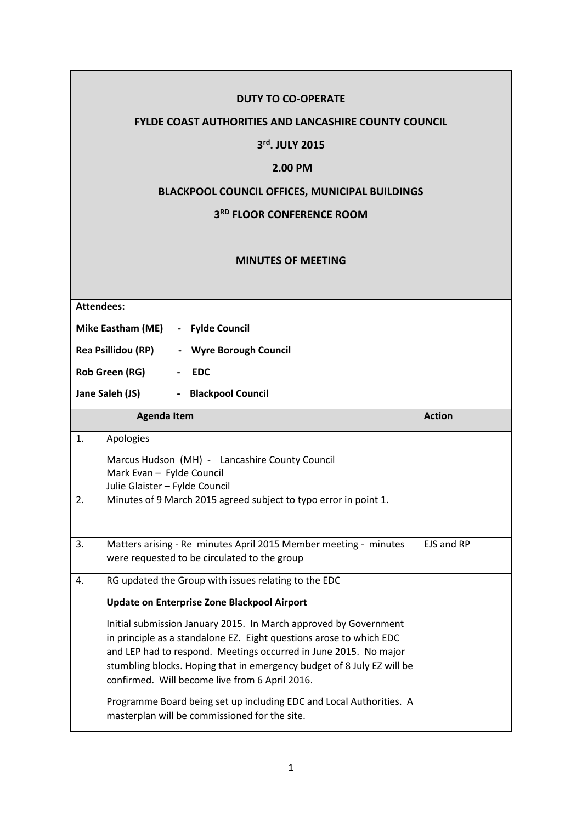# **DUTY TO CO-OPERATE**

## **FYLDE COAST AUTHORITIES AND LANCASHIRE COUNTY COUNCIL**

#### **3 rd. JULY 2015**

# **2.00 PM**

# **BLACKPOOL COUNCIL OFFICES, MUNICIPAL BUILDINGS**

## **3 RD FLOOR CONFERENCE ROOM**

#### **MINUTES OF MEETING**

**Attendees:**

**Mike Eastham (ME) - Fylde Council**

**Rea Psillidou (RP) - Wyre Borough Council**

**Rob Green (RG) - EDC**

**Jane Saleh (JS) - Blackpool Council**

| <b>Agenda Item</b> |                                                                                                                                                                                                                                                                                                                                         | <b>Action</b>     |
|--------------------|-----------------------------------------------------------------------------------------------------------------------------------------------------------------------------------------------------------------------------------------------------------------------------------------------------------------------------------------|-------------------|
| 1.                 | Apologies<br>Marcus Hudson (MH) - Lancashire County Council<br>Mark Evan - Fylde Council<br>Julie Glaister - Fylde Council                                                                                                                                                                                                              |                   |
| 2.                 | Minutes of 9 March 2015 agreed subject to typo error in point 1.                                                                                                                                                                                                                                                                        |                   |
| 3.                 | Matters arising - Re minutes April 2015 Member meeting - minutes<br>were requested to be circulated to the group                                                                                                                                                                                                                        | <b>FJS and RP</b> |
| 4.                 | RG updated the Group with issues relating to the EDC<br>Update on Enterprise Zone Blackpool Airport                                                                                                                                                                                                                                     |                   |
|                    | Initial submission January 2015. In March approved by Government<br>in principle as a standalone EZ. Eight questions arose to which EDC<br>and LEP had to respond. Meetings occurred in June 2015. No major<br>stumbling blocks. Hoping that in emergency budget of 8 July EZ will be<br>confirmed. Will become live from 6 April 2016. |                   |
|                    | Programme Board being set up including EDC and Local Authorities. A<br>masterplan will be commissioned for the site.                                                                                                                                                                                                                    |                   |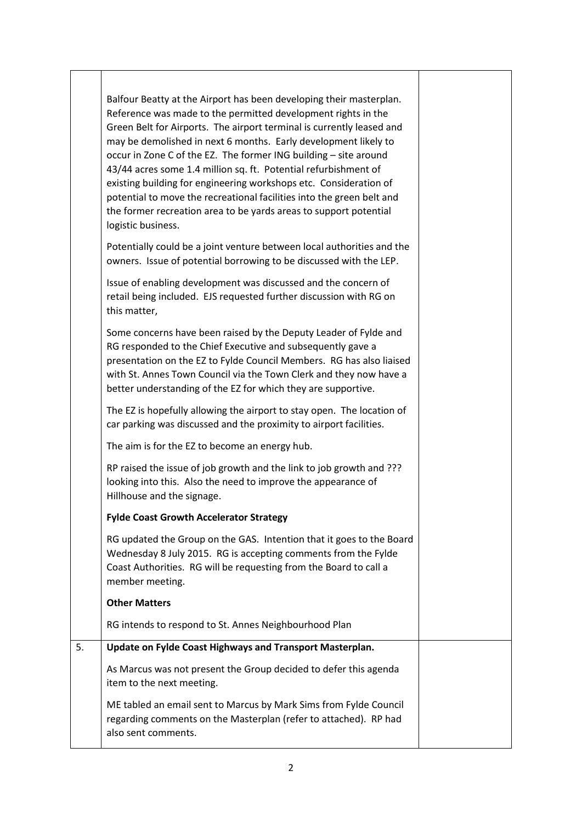|    | Balfour Beatty at the Airport has been developing their masterplan.<br>Reference was made to the permitted development rights in the<br>Green Belt for Airports. The airport terminal is currently leased and<br>may be demolished in next 6 months. Early development likely to<br>occur in Zone C of the EZ. The former ING building - site around<br>43/44 acres some 1.4 million sq. ft. Potential refurbishment of<br>existing building for engineering workshops etc. Consideration of<br>potential to move the recreational facilities into the green belt and<br>the former recreation area to be yards areas to support potential<br>logistic business. |  |
|----|------------------------------------------------------------------------------------------------------------------------------------------------------------------------------------------------------------------------------------------------------------------------------------------------------------------------------------------------------------------------------------------------------------------------------------------------------------------------------------------------------------------------------------------------------------------------------------------------------------------------------------------------------------------|--|
|    | Potentially could be a joint venture between local authorities and the<br>owners. Issue of potential borrowing to be discussed with the LEP.                                                                                                                                                                                                                                                                                                                                                                                                                                                                                                                     |  |
|    | Issue of enabling development was discussed and the concern of<br>retail being included. EJS requested further discussion with RG on<br>this matter,                                                                                                                                                                                                                                                                                                                                                                                                                                                                                                             |  |
|    | Some concerns have been raised by the Deputy Leader of Fylde and<br>RG responded to the Chief Executive and subsequently gave a<br>presentation on the EZ to Fylde Council Members. RG has also liaised<br>with St. Annes Town Council via the Town Clerk and they now have a<br>better understanding of the EZ for which they are supportive.                                                                                                                                                                                                                                                                                                                   |  |
|    | The EZ is hopefully allowing the airport to stay open. The location of<br>car parking was discussed and the proximity to airport facilities.                                                                                                                                                                                                                                                                                                                                                                                                                                                                                                                     |  |
|    | The aim is for the EZ to become an energy hub.                                                                                                                                                                                                                                                                                                                                                                                                                                                                                                                                                                                                                   |  |
|    | RP raised the issue of job growth and the link to job growth and ???<br>looking into this. Also the need to improve the appearance of<br>Hillhouse and the signage.                                                                                                                                                                                                                                                                                                                                                                                                                                                                                              |  |
|    | <b>Fylde Coast Growth Accelerator Strategy</b>                                                                                                                                                                                                                                                                                                                                                                                                                                                                                                                                                                                                                   |  |
|    | RG updated the Group on the GAS. Intention that it goes to the Board<br>Wednesday 8 July 2015. RG is accepting comments from the Fylde<br>Coast Authorities. RG will be requesting from the Board to call a<br>member meeting.                                                                                                                                                                                                                                                                                                                                                                                                                                   |  |
|    | <b>Other Matters</b>                                                                                                                                                                                                                                                                                                                                                                                                                                                                                                                                                                                                                                             |  |
|    | RG intends to respond to St. Annes Neighbourhood Plan                                                                                                                                                                                                                                                                                                                                                                                                                                                                                                                                                                                                            |  |
| 5. | Update on Fylde Coast Highways and Transport Masterplan.                                                                                                                                                                                                                                                                                                                                                                                                                                                                                                                                                                                                         |  |
|    | As Marcus was not present the Group decided to defer this agenda<br>item to the next meeting.                                                                                                                                                                                                                                                                                                                                                                                                                                                                                                                                                                    |  |
|    | ME tabled an email sent to Marcus by Mark Sims from Fylde Council<br>regarding comments on the Masterplan (refer to attached). RP had<br>also sent comments.                                                                                                                                                                                                                                                                                                                                                                                                                                                                                                     |  |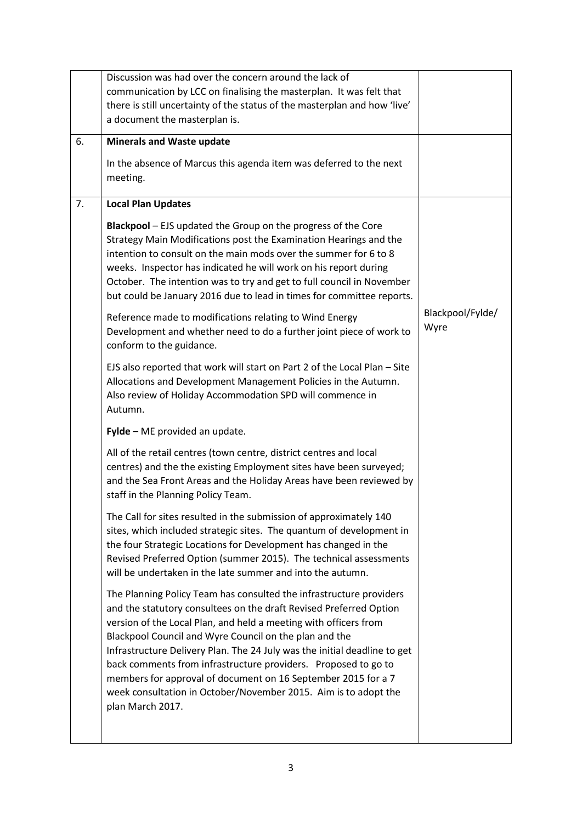|    | Discussion was had over the concern around the lack of                                                                                                                                                                                                                                                                                                                                                                                                                                                                                                                         |                          |
|----|--------------------------------------------------------------------------------------------------------------------------------------------------------------------------------------------------------------------------------------------------------------------------------------------------------------------------------------------------------------------------------------------------------------------------------------------------------------------------------------------------------------------------------------------------------------------------------|--------------------------|
|    | communication by LCC on finalising the masterplan. It was felt that                                                                                                                                                                                                                                                                                                                                                                                                                                                                                                            |                          |
|    | there is still uncertainty of the status of the masterplan and how 'live'                                                                                                                                                                                                                                                                                                                                                                                                                                                                                                      |                          |
|    | a document the masterplan is.                                                                                                                                                                                                                                                                                                                                                                                                                                                                                                                                                  |                          |
| 6. | <b>Minerals and Waste update</b>                                                                                                                                                                                                                                                                                                                                                                                                                                                                                                                                               |                          |
|    | In the absence of Marcus this agenda item was deferred to the next                                                                                                                                                                                                                                                                                                                                                                                                                                                                                                             |                          |
|    | meeting.                                                                                                                                                                                                                                                                                                                                                                                                                                                                                                                                                                       |                          |
| 7. | <b>Local Plan Updates</b>                                                                                                                                                                                                                                                                                                                                                                                                                                                                                                                                                      |                          |
|    | <b>Blackpool</b> – EJS updated the Group on the progress of the Core<br>Strategy Main Modifications post the Examination Hearings and the<br>intention to consult on the main mods over the summer for 6 to 8                                                                                                                                                                                                                                                                                                                                                                  |                          |
|    | weeks. Inspector has indicated he will work on his report during<br>October. The intention was to try and get to full council in November<br>but could be January 2016 due to lead in times for committee reports.                                                                                                                                                                                                                                                                                                                                                             |                          |
|    | Reference made to modifications relating to Wind Energy<br>Development and whether need to do a further joint piece of work to<br>conform to the guidance.                                                                                                                                                                                                                                                                                                                                                                                                                     | Blackpool/Fylde/<br>Wyre |
|    | EJS also reported that work will start on Part 2 of the Local Plan - Site<br>Allocations and Development Management Policies in the Autumn.<br>Also review of Holiday Accommodation SPD will commence in<br>Autumn.                                                                                                                                                                                                                                                                                                                                                            |                          |
|    | Fylde - ME provided an update.                                                                                                                                                                                                                                                                                                                                                                                                                                                                                                                                                 |                          |
|    | All of the retail centres (town centre, district centres and local<br>centres) and the the existing Employment sites have been surveyed;<br>and the Sea Front Areas and the Holiday Areas have been reviewed by<br>staff in the Planning Policy Team.                                                                                                                                                                                                                                                                                                                          |                          |
|    | The Call for sites resulted in the submission of approximately 140<br>sites, which included strategic sites. The quantum of development in<br>the four Strategic Locations for Development has changed in the<br>Revised Preferred Option (summer 2015). The technical assessments<br>will be undertaken in the late summer and into the autumn.                                                                                                                                                                                                                               |                          |
|    | The Planning Policy Team has consulted the infrastructure providers<br>and the statutory consultees on the draft Revised Preferred Option<br>version of the Local Plan, and held a meeting with officers from<br>Blackpool Council and Wyre Council on the plan and the<br>Infrastructure Delivery Plan. The 24 July was the initial deadline to get<br>back comments from infrastructure providers. Proposed to go to<br>members for approval of document on 16 September 2015 for a 7<br>week consultation in October/November 2015. Aim is to adopt the<br>plan March 2017. |                          |
|    |                                                                                                                                                                                                                                                                                                                                                                                                                                                                                                                                                                                |                          |